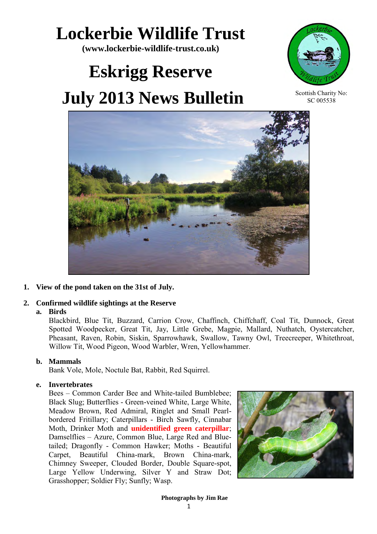## **Lockerbie Wildlife Trust**

**(www.lockerbie-wildlife-trust.co.uk)** 

# **Eskrigg Reserve July 2013 News Bulletin**



Scottish Charity No: SC 005538



**1. View of the pond taken on the 31st of July.**

## **2. Confirmed wildlife sightings at the Reserve**

#### **a. Birds**

Blackbird, Blue Tit, Buzzard, Carrion Crow, Chaffinch, Chiffchaff, Coal Tit, Dunnock, Great Spotted Woodpecker, Great Tit, Jay, Little Grebe, Magpie, Mallard, Nuthatch, Oystercatcher, Pheasant, Raven, Robin, Siskin, Sparrowhawk, Swallow, Tawny Owl, Treecreeper, Whitethroat, Willow Tit, Wood Pigeon, Wood Warbler, Wren, Yellowhammer.

#### **b. Mammals**

Bank Vole, Mole, Noctule Bat, Rabbit, Red Squirrel.

#### **e. Invertebrates**

 Bees – Common Carder Bee and White-tailed Bumblebee; Black Slug; Butterflies - Green-veined White, Large White, Meadow Brown, Red Admiral, Ringlet and Small Pearlbordered Fritillary; Caterpillars - Birch Sawfly, Cinnabar Moth, Drinker Moth and **unidentified green caterpillar**; Damselflies – Azure, Common Blue, Large Red and Bluetailed; Dragonfly - Common Hawker; Moths - Beautiful Carpet, Beautiful China-mark, Brown China-mark, Chimney Sweeper, Clouded Border, Double Square-spot, Large Yellow Underwing, Silver Y and Straw Dot; Grasshopper; Soldier Fly; Sunfly; Wasp.

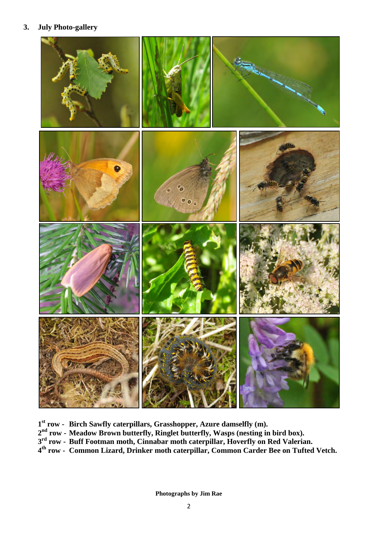#### **3. July Photo-gallery**



- **st row - Birch Sawfly caterpillars, Grasshopper, Azure damselfly (m).**
- **nd row - Meadow Brown butterfly, Ringlet butterfly, Wasps (nesting in bird box).**
- **rd row - Buff Footman moth, Cinnabar moth caterpillar, Hoverfly on Red Valerian.**
- **th row - Common Lizard, Drinker moth caterpillar, Common Carder Bee on Tufted Vetch.**

**Photographs by Jim Rae**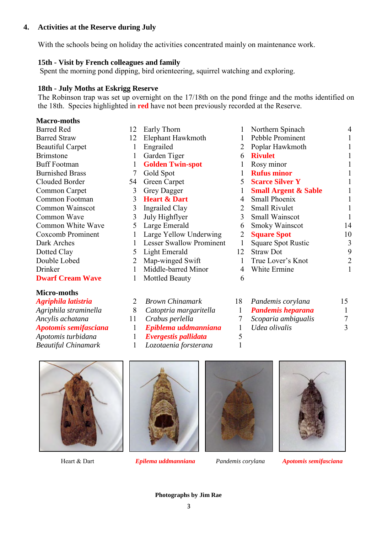#### **4. Activities at the Reserve during July**

With the schools being on holiday the activities concentrated mainly on maintenance work.

#### **15th - Visit by French colleagues and family**

Spent the morning pond dipping, bird orienteering, squirrel watching and exploring.

#### **18th - July Moths at Eskrigg Reserve**

The Robinson trap was set up overnight on the 17/18th on the pond fringe and the moths identified on the 18th. Species highlighted in **red** have not been previously recorded at the Reserve.

#### **Macro-moths**

| <b>Barred Red</b>       | 12             |
|-------------------------|----------------|
| <b>Barred Straw</b>     | 12             |
| <b>Beautiful Carpet</b> | 1              |
| <b>Brimstone</b>        | 1              |
| <b>Buff Footman</b>     | 1              |
| <b>Burnished Brass</b>  | 7              |
| Clouded Border          | 54             |
| Common Carpet           | 3              |
| Common Footman          | $\overline{3}$ |
| Common Wainscot         | $\overline{3}$ |
| Common Wave             | $\overline{3}$ |
| Common White Wave       | 5              |
| Coxcomb Prominent       | 1              |
| Dark Arches             | 1              |
| Dotted Clay             | 5              |
| Double Lobed            | $\overline{2}$ |
| Drinker                 | 1              |
| <b>Dwarf Cream Wave</b> |                |
|                         |                |

## **Micro-moths**

| Agriphila latistria          |    |
|------------------------------|----|
| Agriphila straminella        | 8  |
| Ancylis achatana             | 11 |
| <b>Apotomis semifasciana</b> |    |
| Apotomis turbidana           | 1  |
| <b>Beautiful Chinamark</b>   |    |

| 12 | Early Thorn                     | 1  | Northern Spinach                |    |
|----|---------------------------------|----|---------------------------------|----|
| 12 | Elephant Hawkmoth               | 1  | Pebble Prominent                |    |
| 1  | Engrailed                       | 2  | Poplar Hawkmoth                 |    |
| 1  | Garden Tiger                    | 6  | <b>Rivulet</b>                  |    |
| 1  | <b>Golden Twin-spot</b>         |    | Rosy minor                      |    |
| 7  | Gold Spot                       |    | <b>Rufus minor</b>              |    |
| 54 | Green Carpet                    |    | <b>5</b> Scarce Silver Y        |    |
| 3  | <b>Grey Dagger</b>              | 1  | <b>Small Argent &amp; Sable</b> |    |
| 3  | <b>Heart &amp; Dart</b>         | 4  | Small Phoenix                   |    |
| 3  | Ingrailed Clay                  |    | 2 Small Rivulet                 |    |
| 3  | July Highflyer                  | 3  | <b>Small Wainscot</b>           |    |
| 5  | Large Emerald                   | 6  | <b>Smoky Wainscot</b>           | 14 |
|    | Large Yellow Underwing          | 2  | <b>Square Spot</b>              | 10 |
|    | <b>Lesser Swallow Prominent</b> | 1  | <b>Square Spot Rustic</b>       | 3  |
| 5  | Light Emerald                   | 12 | <b>Straw Dot</b>                | 9  |
| 2  | Map-winged Swift                | 1  | True Lover's Knot               | 2  |
|    | Middle-barred Minor             | 4  | White Ermine                    |    |
|    | Mottled Beauty                  | 6  |                                 |    |
|    |                                 |    |                                 |    |

|               | 18 Pandemis corylana     |  |
|---------------|--------------------------|--|
|               | <b>Pandemis heparana</b> |  |
| $\mathcal{L}$ | Scoparia ambigualis      |  |
|               | Udea olivalis            |  |
|               |                          |  |





**Brown Chinamark** *Catoptria margaritella* 1

*Epiblema uddmanniana* 1 *Evergestis pallidata* 5

*Lozotaenia forsterana* 1

*Crabus perlella* 7





Heart & Dart *Epilema uddmanniana Pandemis corylana Apotomis semifasciana*

**Photographs by Jim Rae**